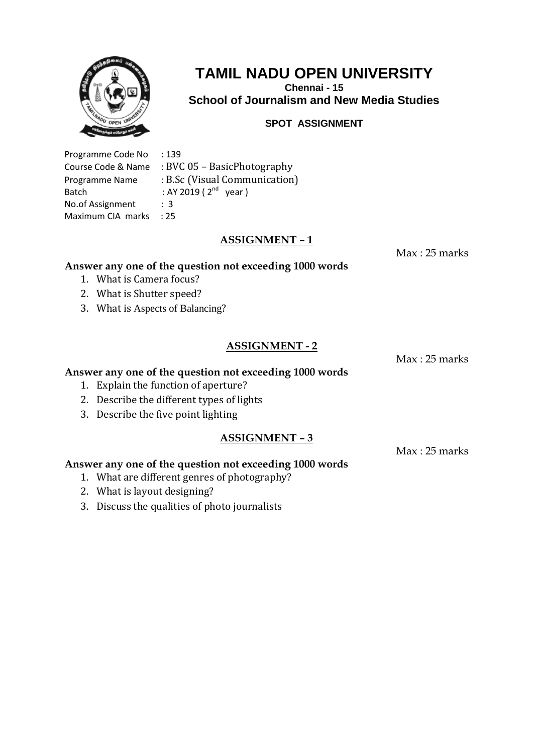

## **TAMIL NADU OPEN UNIVERSITY**

**Chennai - 15 School of Journalism and New Media Studies**

### **SPOT ASSIGNMENT**

Programme Code No : 139 Course Code & Name : BVC 05 – BasicPhotography Programme Name : B.Sc (Visual Communication)<br>Batch : AY 2019 ( $2^{nd}$  vear) : AY 2019 (  $2^{nd}$  year ) No.of Assignment : 3 Maximum CIA marks : 25

## **ASSIGNMENT – 1**

Max : 25 marks

#### **Answer any one of the question not exceeding 1000 words**

- 1. What is Camera focus?
- 2. What is Shutter speed?
- 3. What is Aspects of Balancing?

## **ASSIGNMENT - 2**

 $Max \cdot 25$  marks

## **Answer any one of the question not exceeding 1000 words**

- 1. Explain the function of aperture?
- 2. Describe the different types of lights
- 3. Describe the five point lighting

#### **ASSIGNMENT – 3**

 $Max \cdot 25$  marks

## **Answer any one of the question not exceeding 1000 words**

- 1. What are different genres of photography?
- 2. What is layout designing?
- 3. Discuss the qualities of photo journalists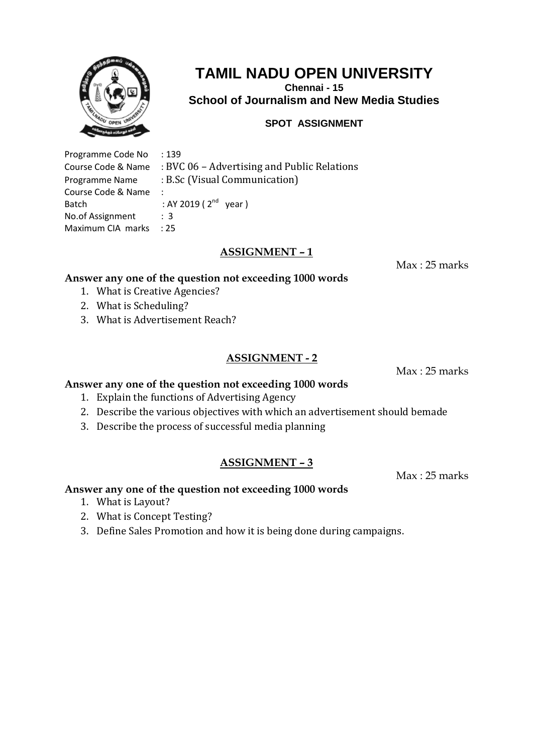

## **TAMIL NADU OPEN UNIVERSITY**

**Chennai - 15 School of Journalism and New Media Studies**

### **SPOT ASSIGNMENT**

Programme Code No : 139 Course Code & Name : BVC 06 – Advertising and Public Relations Programme Name : B.Sc (Visual Communication) Course Code & Name : Batch : AY 2019 (  $2^{nd}$  year ) No.of Assignment : 3 Maximum CIA marks : 25

## **ASSIGNMENT – 1**

Max : 25 marks

Max : 25 marks

#### **Answer any one of the question not exceeding 1000 words**

- 1. What is Creative Agencies?
- 2. What is Scheduling?
- 3. What is Advertisement Reach?

## **ASSIGNMENT - 2**

**Answer any one of the question not exceeding 1000 words** 

- 1. Explain the functions of Advertising Agency
- 2. Describe the various objectives with which an advertisement should bemade
- 3. Describe the process of successful media planning

#### **ASSIGNMENT – 3**

Max : 25 marks

#### **Answer any one of the question not exceeding 1000 words**  1. What is Layout?

- 2. What is Concept Testing?
- 3. Define Sales Promotion and how it is being done during campaigns.